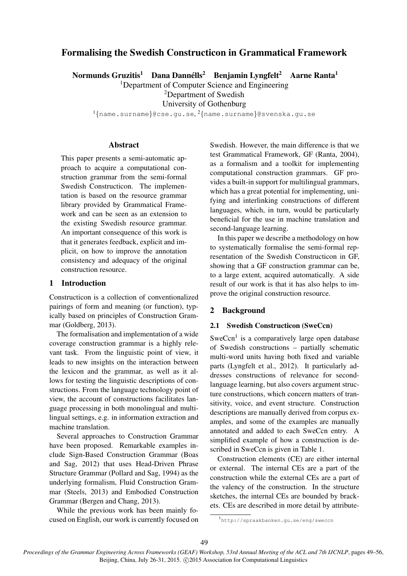# Formalising the Swedish Constructicon in Grammatical Framework

Normunds Gruzitis $^1$  Dana Dannélls $^2$  Benjamin Lyngfelt $^2$  Aarne Ranta $^1$ 

<sup>1</sup>Department of Computer Science and Engineering

<sup>2</sup>Department of Swedish

University of Gothenburg

 $^{1}\{$ name.surname $\}$ @cse.gu.se, $^{2}\{$ name.surname $\}$ @svenska.gu.se

# Abstract

This paper presents a semi-automatic approach to acquire a computational construction grammar from the semi-formal Swedish Constructicon. The implementation is based on the resource grammar library provided by Grammatical Framework and can be seen as an extension to the existing Swedish resource grammar. An important consequence of this work is that it generates feedback, explicit and implicit, on how to improve the annotation consistency and adequacy of the original construction resource.

# 1 Introduction

Constructicon is a collection of conventionalized pairings of form and meaning (or function), typically based on principles of Construction Grammar (Goldberg, 2013).

The formalisation and implementation of a wide coverage construction grammar is a highly relevant task. From the linguistic point of view, it leads to new insights on the interaction between the lexicon and the grammar, as well as it allows for testing the linguistic descriptions of constructions. From the language technology point of view, the account of constructions facilitates language processing in both monolingual and multilingual settings, e.g. in information extraction and machine translation.

Several approaches to Construction Grammar have been proposed. Remarkable examples include Sign-Based Construction Grammar (Boas and Sag, 2012) that uses Head-Driven Phrase Structure Grammar (Pollard and Sag, 1994) as the underlying formalism, Fluid Construction Grammar (Steels, 2013) and Embodied Construction Grammar (Bergen and Chang, 2013).

While the previous work has been mainly focused on English, our work is currently focused on

Swedish. However, the main difference is that we test Grammatical Framework, GF (Ranta, 2004), as a formalism and a toolkit for implementing computational construction grammars. GF provides a built-in support for multilingual grammars, which has a great potential for implementing, unifying and interlinking constructions of different languages, which, in turn, would be particularly beneficial for the use in machine translation and second-language learning.

In this paper we describe a methodology on how to systematically formalise the semi-formal representation of the Swedish Constructicon in GF, showing that a GF construction grammar can be, to a large extent, acquired automatically. A side result of our work is that it has also helps to improve the original construction resource.

# 2 Background

# 2.1 Swedish Constructicon (SweCcn)

SweCcn<sup>1</sup> is a comparatively large open database of Swedish constructions – partially schematic multi-word units having both fixed and variable parts (Lyngfelt et al., 2012). It particularly addresses constructions of relevance for secondlanguage learning, but also covers argument structure constructions, which concern matters of transitivity, voice, and event structure. Construction descriptions are manually derived from corpus examples, and some of the examples are manually annotated and added to each SweCcn entry. A simplified example of how a construction is described in SweCcn is given in Table 1.

Construction elements (CE) are either internal or external. The internal CEs are a part of the construction while the external CEs are a part of the valency of the construction. In the structure sketches, the internal CEs are bounded by brackets. CEs are described in more detail by attribute-

<sup>1</sup> http://spraakbanken.gu.se/eng/sweccn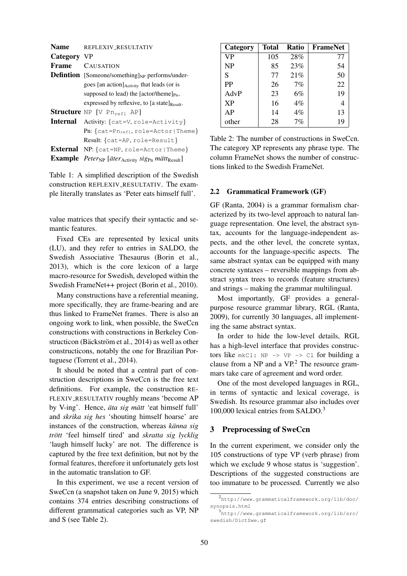| <b>Name</b> | REFLEXIV_RESULTATIV                                                                              |  |  |  |
|-------------|--------------------------------------------------------------------------------------------------|--|--|--|
| Category VP |                                                                                                  |  |  |  |
| Frame       | <b>CAUSATION</b>                                                                                 |  |  |  |
|             | <b>Defintion</b> [Someone/something] $_{NP}$ performs/under-                                     |  |  |  |
|             | goes [an action] Activity that leads (or is                                                      |  |  |  |
|             | supposed to lead) the [actor/theme] $_{\text{Pn}}$ ,                                             |  |  |  |
|             | expressed by reflexive, to [a state] <sub>Result</sub> .                                         |  |  |  |
|             | Structure NP [V Pn <sub>ref1</sub> AP]                                                           |  |  |  |
|             | <b>Internal</b> Activity: {cat=V, role=Activity}                                                 |  |  |  |
|             | Pn: {cat=Pn <sub>ref1</sub> , role=Actor   Theme}                                                |  |  |  |
|             | Result: {cat=AP, role=Result}                                                                    |  |  |  |
|             | <b>External</b> NP: $\{cat=NP, role=Actor   Then.\}$                                             |  |  |  |
|             | Example Peter <sub>NP</sub> [äter <sub>Activity</sub> sig <sub>Pn</sub> mätt <sub>Result</sub> ] |  |  |  |

Table 1: A simplified description of the Swedish construction REFLEXIV RESULTATIV. The example literally translates as 'Peter eats himself full'.

value matrices that specify their syntactic and semantic features.

Fixed CEs are represented by lexical units (LU), and they refer to entries in SALDO, the Swedish Associative Thesaurus (Borin et al., 2013), which is the core lexicon of a large macro-resource for Swedish, developed within the Swedish FrameNet++ project (Borin et al., 2010).

Many constructions have a referential meaning, more specifically, they are frame-bearing and are thus linked to FrameNet frames. There is also an ongoing work to link, when possible, the SweCcn constructions with constructions in Berkeley Constructicon (Bäckström et al., 2014) as well as other constructicons, notably the one for Brazilian Portuguese (Torrent et al., 2014).

It should be noted that a central part of construction descriptions in SweCcn is the free text definitions. For example, the construction RE-FLEXIV RESULTATIV roughly means 'become AP by V-ing'. Hence, *äta sig mätt* 'eat himself full' and *skrika sig hes* 'shouting himself hoarse' are instances of the construction, whereas *känna sig trott ¨* 'feel himself tired' and *skratta sig lycklig* 'laugh himself lucky' are not. The difference is captured by the free text definition, but not by the formal features, therefore it unfortunately gets lost in the automatic translation to GF.

In this experiment, we use a recent version of SweCcn (a snapshot taken on June 9, 2015) which contains 374 entries describing constructions of different grammatical categories such as VP, NP and S (see Table 2).

| Category  | Total | <b>Ratio</b> | <b>FrameNet</b> |
|-----------|-------|--------------|-----------------|
| VP        | 105   | 28%          | 77              |
| NP        | 85    | 23%          | 54              |
| S         | 77    | 21%          | 50              |
| <b>PP</b> | 26    | 7%           | 22              |
| AdvP      | 23    | 6%           | 19              |
| <b>XP</b> | 16    | $4\%$        |                 |
| AP        | 14    | 4%           | 13              |
| other     | 28    | 7%           | 19              |

Table 2: The number of constructions in SweCcn. The category XP represents any phrase type. The column FrameNet shows the number of constructions linked to the Swedish FrameNet.

#### 2.2 Grammatical Framework (GF)

GF (Ranta, 2004) is a grammar formalism characterized by its two-level approach to natural language representation. One level, the abstract syntax, accounts for the language-independent aspects, and the other level, the concrete syntax, accounts for the language-specific aspects. The same abstract syntax can be equipped with many concrete syntaxes – reversible mappings from abstract syntax trees to records (feature structures) and strings – making the grammar multilingual.

Most importantly, GF provides a generalpurpose resource grammar library, RGL (Ranta, 2009), for currently 30 languages, all implementing the same abstract syntax.

In order to hide the low-level details, RGL has a high-level interface that provides constructors like  $mkCI: NP \rightarrow VP \rightarrow CI$  for building a clause from a NP and a VP.<sup>2</sup> The resource grammars take care of agreement and word order.

One of the most developed languages in RGL, in terms of syntactic and lexical coverage, is Swedish. Its resource grammar also includes over 100,000 lexical entries from SALDO.<sup>3</sup>

#### 3 Preprocessing of SweCcn

In the current experiment, we consider only the 105 constructions of type VP (verb phrase) from which we exclude 9 whose status is 'suggestion'. Descriptions of the suggested constructions are too immature to be processed. Currently we also

<sup>2</sup> http://www.grammaticalframework.org/lib/doc/ synopsis.html

<sup>3</sup> http://www.grammaticalframework.org/lib/src/ swedish/DictSwe.gf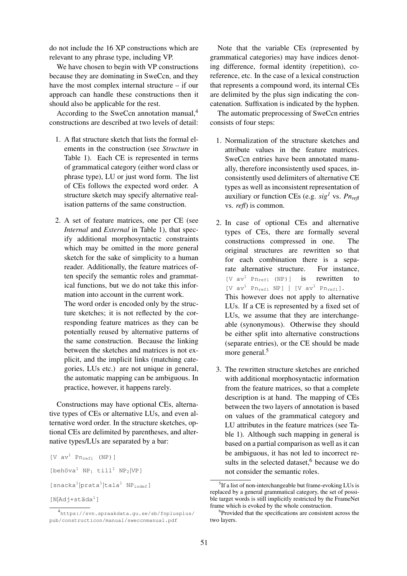do not include the 16 XP constructions which are relevant to any phrase type, including VP.

We have chosen to begin with VP constructions because they are dominating in SweCcn, and they have the most complex internal structure – if our approach can handle these constructions then it should also be applicable for the rest.

According to the SweCcn annotation manual, $4$ constructions are described at two levels of detail:

- 1. A flat structure sketch that lists the formal elements in the construction (see *Structure* in Table 1). Each CE is represented in terms of grammatical category (either word class or phrase type), LU or just word form. The list of CEs follows the expected word order. A structure sketch may specify alternative realisation patterns of the same construction.
- 2. A set of feature matrices, one per CE (see *Internal* and *External* in Table 1), that specify additional morphosyntactic constraints which may be omitted in the more general sketch for the sake of simplicity to a human reader. Additionally, the feature matrices often specify the semantic roles and grammatical functions, but we do not take this information into account in the current work.

The word order is encoded only by the structure sketches; it is not reflected by the corresponding feature matrices as they can be potentially reused by alternative patterns of the same construction. Because the linking between the sketches and matrices is not explicit, and the implicit links (matching categories, LUs etc.) are not unique in general, the automatic mapping can be ambiguous. In practice, however, it happens rarely.

Constructions may have optional CEs, alternative types of CEs or alternative LUs, and even alternative word order. In the structure sketches, optional CEs are delimited by parentheses, and alternative types/LUs are separated by a bar:

```
[V av<sup>1</sup> Pr<sub>refl</sub> (NP)][behöva<sup>1</sup> NP<sub>1</sub> till<sup>1</sup> NP<sub>2</sub>|VP][snacka<sup>1</sup>|prata<sup>1</sup>|tala<sup>1</sup> NP<sub>indef</sub>]
[N|Adj+st\ddot{a}da^1]
```
Note that the variable CEs (represented by grammatical categories) may have indices denoting difference, formal identity (repetition), coreference, etc. In the case of a lexical construction that represents a compound word, its internal CEs are delimited by the plus sign indicating the concatenation. Suffixation is indicated by the hyphen.

The automatic preprocessing of SweCcn entries consists of four steps:

- 1. Normalization of the structure sketches and attribute values in the feature matrices. SweCcn entries have been annotated manually, therefore inconsistently used spaces, inconsistently used delimiters of alternative CE types as well as inconsistent representation of auxiliary or function CEs (e.g.  $sig^1$  vs.  $Pn_{refl}$ vs. *refl*) is common.
- 2. In case of optional CEs and alternative types of CEs, there are formally several constructions compressed in one. The original structures are rewritten so that for each combination there is a separate alternative structure. For instance, [V  $av^1$  Pn<sub>refl</sub> (NP)] is rewritten to  $[V \, av^1 \, Pn_{refl} \, NP]$  |  $[V \, av^1 \, Pn_{refl}]$ . This however does not apply to alternative LUs. If a CE is represented by a fixed set of LUs, we assume that they are interchangeable (synonymous). Otherwise they should be either split into alternative constructions (separate entries), or the CE should be made more general.<sup>5</sup>
- 3. The rewritten structure sketches are enriched with additional morphosyntactic information from the feature matrices, so that a complete description is at hand. The mapping of CEs between the two layers of annotation is based on values of the grammatical category and LU attributes in the feature matrices (see Table 1). Although such mapping in general is based on a partial comparison as well as it can be ambiguous, it has not led to incorrect results in the selected dataset, $6$  because we do not consider the semantic roles.

<sup>4</sup> https://svn.spraakdata.gu.se/sb/fnplusplus/ pub/constructicon/manual/sweccnmanual.pdf

<sup>&</sup>lt;sup>5</sup>If a list of non-interchangeable but frame-evoking LUs is replaced by a general grammatical category, the set of possible target words is still implicitly restricted by the FrameNet frame which is evoked by the whole construction.

<sup>6</sup> Provided that the specifications are consistent across the two layers.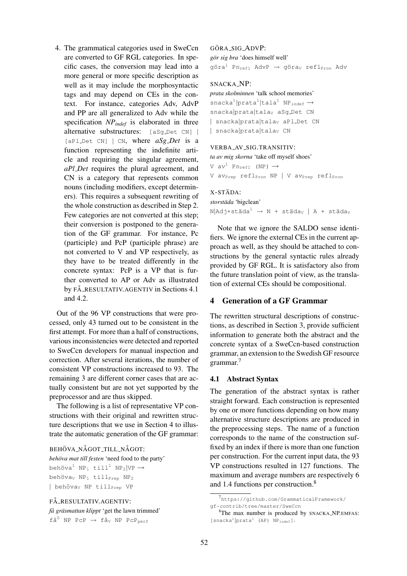4. The grammatical categories used in SweCcn are converted to GF RGL categories. In specific cases, the conversion may lead into a more general or more specific description as well as it may include the morphosyntactic tags and may depend on CEs in the context. For instance, categories Adv, AdvP and PP are all generalized to Adv while the specification *NPindef* is elaborated in three alternative substructures: [aSg Det CN] |  $[a$ Pl Det CN]  $\vert$  CN, where  $aSg$  *Det* is a function representing the indefinite article and requiring the singular agreement, *aPl Det* requires the plural agreement, and CN is a category that represents common nouns (including modifiers, except determiners). This requires a subsequent rewriting of the whole construction as described in Step 2. Few categories are not converted at this step; their conversion is postponed to the generation of the GF grammar. For instance, Pc (participle) and PcP (participle phrase) are not converted to V and VP respectively, as they have to be treated differently in the concrete syntax: PcP is a VP that is further converted to AP or Adv as illustrated by FÅ\_RESULTATIV.AGENTIV in Sections 4.1 and 4.2.

Out of the 96 VP constructions that were processed, only 43 turned out to be consistent in the first attempt. For more than a half of constructions, various inconsistencies were detected and reported to SweCcn developers for manual inspection and correction. After several iterations, the number of consistent VP constructions increased to 93. The remaining 3 are different corner cases that are actually consistent but are not yet supported by the preprocessor and are thus skipped.

The following is a list of representative VP constructions with their original and rewritten structure descriptions that we use in Section 4 to illustrate the automatic generation of the GF grammar:

#### BEHÖVA\_NÅGOT\_TILL\_NÅGOT:

*behöva mat till festen* 'need food to the party' behöva<sup>1</sup> NP<sub>1</sub> till<sup>1</sup> NP<sub>2</sub>|VP  $\rightarrow$ behöva<sub>V</sub> NP<sub>1</sub> till<sub>Prep</sub> NP<sub>2</sub> | behöva<sub>V</sub> NP till<sub>Prep</sub> VP

### FÅ\_RESULTATIV.AGENTIV:

*fa gr ˚ asmattan klippt ¨* 'get the lawn trimmed'  $f\text{Å}^0$  NP PcP  $\rightarrow$   $f\text{Å}_V$  NP PcP<sub>perf</sub>

### GÖRA\_SIG\_ADVP:

*gor sig bra ¨* 'does himself well'

göra<sup>1</sup> Pn<sub>refl</sub> AdvP  $\rightarrow$  göra<sub>V</sub> refl<sub>Pron</sub> Adv

#### SNACKA\_NP:

# *prata skolminnen* 'talk school memories'

 $snacka^{1}|tata^{1}|tala^{1} NP_{indef} \rightarrow$ snacka|prata|talav aSg\_Det CN | snacka|prata|talay aPl\_Det CN | snacka prata | talay CN

#### VERBA\_AV\_SIG.TRANSITIV:

*ta av mig skorna* 'take off myself shoes'

V  $av^1$  Pn<sub>refl</sub> (NP)  $\rightarrow$ V av<sub>Prep</sub> refl<sub>Pron</sub> NP | V av<sub>Prep</sub> refl<sub>Pron</sub>

# X-STÄDA:

*storstada ¨* 'bigclean'  $N|$ Adj+städa<sup>1</sup> → N + städa<sub>V</sub> | A + städa<sub>V</sub>

Note that we ignore the SALDO sense identifiers. We ignore the external CEs in the current approach as well, as they should be attached to constructions by the general syntactic rules already provided by GF RGL. It is satisfactory also from the future translation point of view, as the translation of external CEs should be compositional.

#### 4 Generation of a GF Grammar

The rewritten structural descriptions of constructions, as described in Section 3, provide sufficient information to generate both the abstract and the concrete syntax of a SweCcn-based construction grammar, an extension to the Swedish GF resource grammar.<sup>7</sup>

### 4.1 Abstract Syntax

The generation of the abstract syntax is rather straight forward. Each construction is represented by one or more functions depending on how many alternative structure descriptions are produced in the preprocessing steps. The name of a function corresponds to the name of the construction suffixed by an index if there is more than one function per construction. For the current input data, the 93 VP constructions resulted in 127 functions. The maximum and average numbers are respectively 6 and 1.4 functions per construction.<sup>8</sup>

<sup>7</sup> https://github.com/GrammaticalFramework/ gf-contrib/tree/master/SweCcn

<sup>8</sup>The max number is produced by SNACKA NP.EMFAS: [snacka<sup>1</sup> |prata<sup>1</sup> (AP) NP<sub>indef</sub>].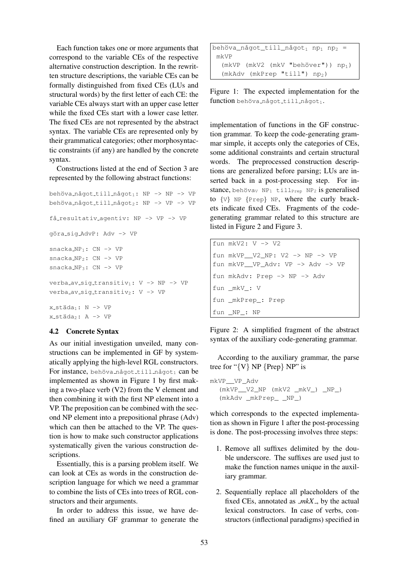Each function takes one or more arguments that correspond to the variable CEs of the respective alternative construction description. In the rewritten structure descriptions, the variable CEs can be formally distinguished from fixed CEs (LUs and structural words) by the first letter of each CE: the variable CEs always start with an upper case letter while the fixed CEs start with a lower case letter. The fixed CEs are not represented by the abstract syntax. The variable CEs are represented only by their grammatical categories; other morphosyntactic constraints (if any) are handled by the concrete syntax.

Constructions listed at the end of Section 3 are represented by the following abstract functions:

```
behöva_något_till_något1: NP -> NP -> VP
behöva_något_till_något<sub>2</sub>: NP -> VP -> VP
få_resultativ_agentiv: NP -> VP -> VP
göra_sig_AdvP: Adv -> VP
snacka_NP<sub>1</sub>: CN -> VP
snacka_NP_2: CN \rightarrow VPsnacka_NP<sub>3</sub>: CN -> VP
verba_av_sig_transitiv<sub>1</sub>: V -> NP -> VP
verba_av_siq_transitiv<sub>2</sub>: V -> VP
x_-städa<sub>1</sub>: N -> VP
x_städa<sub>2</sub>: A -> VP
```
### 4.2 Concrete Syntax

As our initial investigation unveiled, many constructions can be implemented in GF by systematically applying the high-level RGL constructors. For instance, behöva\_något\_till\_något1 can be implemented as shown in Figure 1 by first making a two-place verb (V2) from the V element and then combining it with the first NP element into a VP. The preposition can be combined with the second NP element into a prepositional phrase (Adv) which can then be attached to the VP. The question is how to make such constructor applications systematically given the various construction descriptions.

Essentially, this is a parsing problem itself. We can look at CEs as words in the construction description language for which we need a grammar to combine the lists of CEs into trees of RGL constructors and their arguments.

In order to address this issue, we have defined an auxiliary GF grammar to generate the

```
behöva_något_till_något1 np1 np2 =
 mkVP
   (mkVP (mkV2 (mkV "behöver")) np<sub>1</sub>)
   (mkAdv (mkPrep "till") np<sub>2</sub>)
```
Figure 1: The expected implementation for the function behöva\_något\_till\_något1.

implementation of functions in the GF construction grammar. To keep the code-generating grammar simple, it accepts only the categories of CEs, some additional constraints and certain structural words. The preprocessed construction descriptions are generalized before parsing; LUs are inserted back in a post-processing step. For instance, behöva<sub>V</sub> NP<sub>1</sub> till<sub>Prep</sub> NP<sub>2</sub> is generalised to {V} NP {Prep} NP, where the curly brackets indicate fixed CEs. Fragments of the codegenerating grammar related to this structure are listed in Figure 2 and Figure 3.

```
fun mkV2: V -> V2
fun mkVP__V2_NP: V2 -> NP -> VP
fun mkVP__VP_Adv: VP -> Adv -> VP
fun mkAdv: Prep -> NP -> Adv
fun _mkV_: V
fun _mkPrep_: Prep
fun _NP_: NP
```
Figure 2: A simplified fragment of the abstract syntax of the auxiliary code-generating grammar.

According to the auxiliary grammar, the parse tree for " $\{V\}$  NP  $\{Prep\}$  NP" is

```
mkVP__VP_Adv
  (mkVP__V2_NP (mkV2 _mkV_) _NP_)
  (mkAdv _mkPrep_ _NP_)
```
which corresponds to the expected implementation as shown in Figure 1 after the post-processing is done. The post-processing involves three steps:

- 1. Remove all suffixes delimited by the double underscore. The suffixes are used just to make the function names unique in the auxiliary grammar.
- 2. Sequentially replace all placeholders of the fixed CEs, annotated as  $\textit{mkX}_{-}$ , by the actual lexical constructors. In case of verbs, constructors (inflectional paradigms) specified in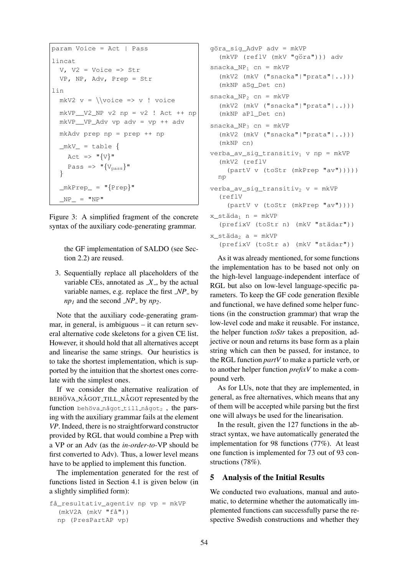```
param Voice = Act | Pass
lincat
  V<sub>l</sub> V2 = Voice => Str
  VP, NP, Adv, Prep = Str
lin
  mkV2 v = \sqrt{v} = \vee : voice
  mkVP V2 NP v2 np = v2 ! Act ++ np
  mkVP__VP_Adv vp adv = vp ++ adv
  mkAdv prep np = prep ++ np
  _mkv_ = table {
    Act \Rightarrow "{V}Pass \Rightarrow "\{V_{pass}\}"
  }
  _mkPrep = "\{Prep\}"
   NP = "NP"
```
Figure 3: A simplified fragment of the concrete syntax of the auxiliary code-generating grammar.

the GF implementation of SALDO (see Section 2.2) are reused.

3. Sequentially replace all placeholders of the variable CEs, annotated as  $X<sub>-</sub>$ , by the actual variable names, e.g. replace the first  $\mathcal{NP}_$  by  $np_1$  and the second *NP* by  $np_2$ .

Note that the auxiliary code-generating grammar, in general, is ambiguous – it can return several alternative code skeletons for a given CE list. However, it should hold that all alternatives accept and linearise the same strings. Our heuristics is to take the shortest implementation, which is supported by the intuition that the shortest ones correlate with the simplest ones.

If we consider the alternative realization of BEHÖVA\_NÅGOT\_TILL\_NÅGOT represented by the function behöva något till något<sub>2</sub>, the parsing with the auxiliary grammar fails at the element *VP*. Indeed, there is no straightforward constructor provided by RGL that would combine a Prep with a VP or an Adv (as the *in-order-to-*VP should be first converted to Adv). Thus, a lower level means have to be applied to implement this function.

The implementation generated for the rest of functions listed in Section 4.1 is given below (in a slightly simplified form):

```
få_resultativ_agentiv np vp = mkVP
  (mkV2A (mkV "få") )np (PresPartAP vp)
```

```
göra sig AdvP adv = mkVP
  (mkVP (reflV (mkV "göra"))) adv
snacka NP_1 cn = mkVP
  (mkV2 (mkV ("snacka"|"prata"|..)))
  (mkNP aSg_Det cn)
snacka_NP_2 cn = mkVP
  (mkV2 (mkV ("snacka"|"prata"|..)))
  (mkNP aPl_Det cn)
snacka_NP_3 cn = mkVP
  (mkV2 (mkV ("snacka"|"prata"|..)))
  (mkNP cn)
verba_av_siq_transitiv<sub>1</sub> v np = mkVP
  (mkV2 (reflV
    (partV v (toStr (mkPrep "av")))))
  np
verba_av_sig_transitiv<sub>2</sub> v = mkVP(reflV
    (partV v (toStr (mkPrep "av"))))
x_{\text{1}}städa<sub>1</sub> n = mkVP
  (prefixV (toStr n) (mkV "städar"))
x_{\text{1}}städa<sub>2</sub> a = mkVP
  (prefixV (toStr a) (mkV "städar"))
```
As it was already mentioned, for some functions the implementation has to be based not only on the high-level language-independent interface of RGL but also on low-level language-specific parameters. To keep the GF code generation flexible and functional, we have defined some helper functions (in the construction grammar) that wrap the low-level code and make it reusable. For instance, the helper function *toStr* takes a preposition, adjective or noun and returns its base form as a plain string which can then be passed, for instance, to the RGL function *partV* to make a particle verb, or to another helper function *prefixV* to make a compound verb.

As for LUs, note that they are implemented, in general, as free alternatives, which means that any of them will be accepted while parsing but the first one will always be used for the linearisation.

In the result, given the 127 functions in the abstract syntax, we have automatically generated the implementation for 98 functions (77%). At least one function is implemented for 73 out of 93 constructions (78%).

### 5 Analysis of the Initial Results

We conducted two evaluations, manual and automatic, to determine whether the automatically implemented functions can successfully parse the respective Swedish constructions and whether they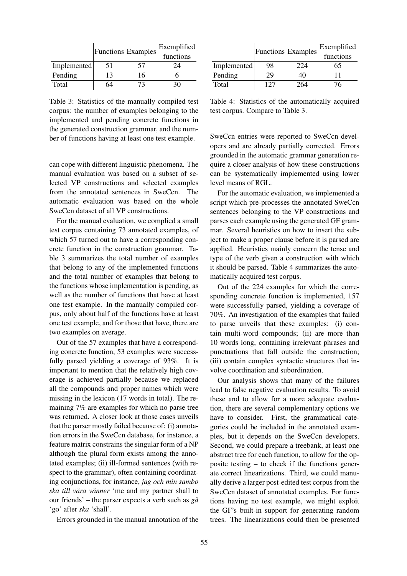|             | <b>Functions</b> Examples |    | Exemplified<br>functions |
|-------------|---------------------------|----|--------------------------|
| Implemented | 51                        | 57 | 24                       |
| Pending     | 13                        | 16 |                          |
| Total       |                           | 73 | 30.                      |

Table 3: Statistics of the manually compiled test corpus: the number of examples belonging to the implemented and pending concrete functions in the generated construction grammar, and the number of functions having at least one test example.

can cope with different linguistic phenomena. The manual evaluation was based on a subset of selected VP constructions and selected examples from the annotated sentences in SweCcn. The automatic evaluation was based on the whole SweCcn dataset of all VP constructions.

For the manual evaluation, we complied a small test corpus containing 73 annotated examples, of which 57 turned out to have a corresponding concrete function in the construction grammar. Table 3 summarizes the total number of examples that belong to any of the implemented functions and the total number of examples that belong to the functions whose implementation is pending, as well as the number of functions that have at least one test example. In the manually compiled corpus, only about half of the functions have at least one test example, and for those that have, there are two examples on average.

Out of the 57 examples that have a corresponding concrete function, 53 examples were successfully parsed yielding a coverage of 93%. It is important to mention that the relatively high coverage is achieved partially because we replaced all the compounds and proper names which were missing in the lexicon (17 words in total). The remaining 7% are examples for which no parse tree was returned. A closer look at those cases unveils that the parser mostly failed because of: (i) annotation errors in the SweCcn database, for instance, a feature matrix constrains the singular form of a NP although the plural form exists among the annotated examples; (ii) ill-formed sentences (with respect to the grammar), often containing coordinating conjunctions, for instance, *jag och min sambo ska till vara v ˚ anner ¨* 'me and my partner shall to our friends' – the parser expects a verb such as *ga˚* 'go' after *ska* 'shall'.

Errors grounded in the manual annotation of the

|             | <b>Functions Examples</b> |     | Exemplified<br>functions |
|-------------|---------------------------|-----|--------------------------|
| Implemented | 98                        | 224 | 65                       |
| Pending     | 29                        | 40  | 11                       |
| Total       | 127                       | 264 | 76                       |

Table 4: Statistics of the automatically acquired test corpus. Compare to Table 3.

SweCcn entries were reported to SweCcn developers and are already partially corrected. Errors grounded in the automatic grammar generation require a closer analysis of how these constructions can be systematically implemented using lower level means of RGL.

For the automatic evaluation, we implemented a script which pre-processes the annotated SweCcn sentences belonging to the VP constructions and parses each example using the generated GF grammar. Several heuristics on how to insert the subject to make a proper clause before it is parsed are applied. Heuristics mainly concern the tense and type of the verb given a construction with which it should be parsed. Table 4 summarizes the automatically acquired test corpus.

Out of the 224 examples for which the corresponding concrete function is implemented, 157 were successfully parsed, yielding a coverage of 70%. An investigation of the examples that failed to parse unveils that these examples: (i) contain multi-word compounds; (ii) are more than 10 words long, containing irrelevant phrases and punctuations that fall outside the construction; (iii) contain complex syntactic structures that involve coordination and subordination.

Our analysis shows that many of the failures lead to false negative evaluation results. To avoid these and to allow for a more adequate evaluation, there are several complementary options we have to consider. First, the grammatical categories could be included in the annotated examples, but it depends on the SweCcn developers. Second, we could prepare a treebank, at least one abstract tree for each function, to allow for the opposite testing – to check if the functions generate correct linearizations. Third, we could manually derive a larger post-edited test corpus from the SweCcn dataset of annotated examples. For functions having no test example, we might exploit the GF's built-in support for generating random trees. The linearizations could then be presented